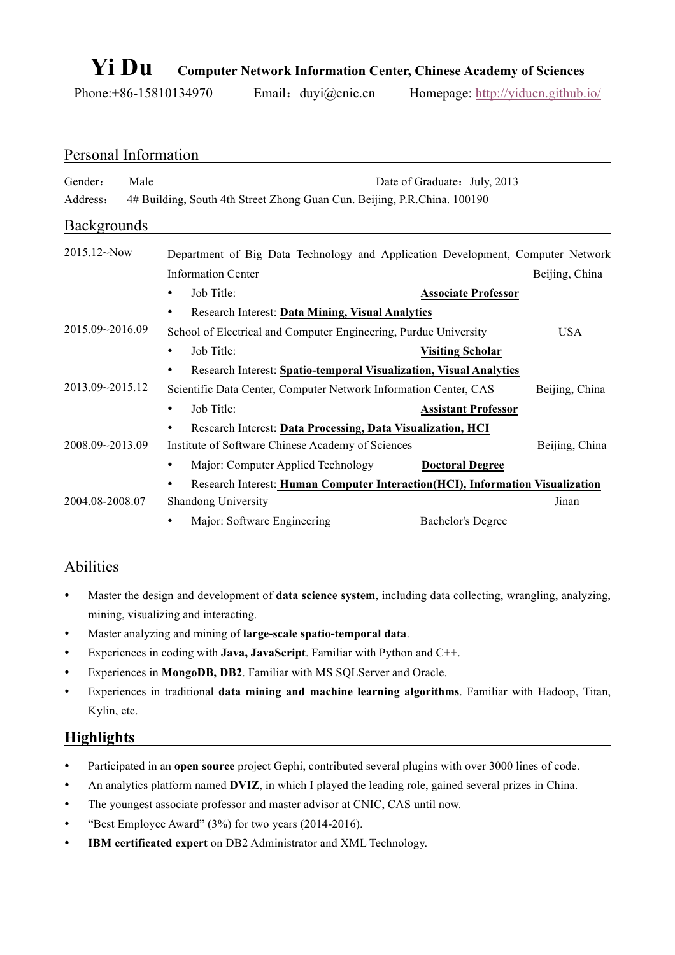# **Yi Du Computer Network Information Center, Chinese Academy of Sciences**

Phone:+86-15810134970 Email: duyi@cnic.cn Homepage: http://yiducn.github.io/

| Personal Information |      |                                                                                                              |                              |                |  |
|----------------------|------|--------------------------------------------------------------------------------------------------------------|------------------------------|----------------|--|
| Gender:<br>Address:  | Male | 4# Building, South 4th Street Zhong Guan Cun. Beijing, P.R.China. 100190                                     | Date of Graduate: July, 2013 |                |  |
| <b>Backgrounds</b>   |      |                                                                                                              |                              |                |  |
| $2015.12 \sim$ Now   |      | Department of Big Data Technology and Application Development, Computer Network<br><b>Information Center</b> |                              | Beijing, China |  |
|                      |      | Job Title:<br>$\bullet$                                                                                      | <b>Associate Professor</b>   |                |  |
| 2015.09~2016.09      |      | Research Interest: Data Mining, Visual Analytics<br>$\bullet$                                                |                              |                |  |
|                      |      | School of Electrical and Computer Engineering, Purdue University                                             |                              | <b>USA</b>     |  |
|                      |      | Job Title:<br>$\bullet$                                                                                      | <b>Visiting Scholar</b>      |                |  |
|                      |      | Research Interest: Spatio-temporal Visualization, Visual Analytics<br>$\bullet$                              |                              |                |  |
| 2013.09~2015.12      |      | Scientific Data Center, Computer Network Information Center, CAS                                             |                              | Beijing, China |  |
|                      |      | Job Title:<br>$\bullet$                                                                                      | <b>Assistant Professor</b>   |                |  |
|                      |      | Research Interest: Data Processing, Data Visualization, HCI<br>$\bullet$                                     |                              |                |  |
| 2008.09~2013.09      |      | Institute of Software Chinese Academy of Sciences                                                            |                              | Beijing, China |  |
|                      |      | Major: Computer Applied Technology<br>$\bullet$                                                              | <b>Doctoral Degree</b>       |                |  |
|                      |      | Research Interest: Human Computer Interaction(HCI), Information Visualization                                |                              |                |  |
| 2004.08-2008.07      |      | Shandong University                                                                                          |                              | Jinan          |  |
|                      |      | Major: Software Engineering<br>$\bullet$                                                                     | <b>Bachelor's Degree</b>     |                |  |

#### Abilities

- Master the design and development of **data science system**, including data collecting, wrangling, analyzing, mining, visualizing and interacting.
- Master analyzing and mining of **large-scale spatio-temporal data**.
- Experiences in coding with **Java, JavaScript**. Familiar with Python and C++.
- Experiences in **MongoDB, DB2**. Familiar with MS SQLServer and Oracle.
- Experiences in traditional **data mining and machine learning algorithms**. Familiar with Hadoop, Titan, Kylin, etc.

### **Highlights**

- Participated in an **open source** project Gephi, contributed several plugins with over 3000 lines of code.
- An analytics platform named **DVIZ**, in which I played the leading role, gained several prizes in China.
- The youngest associate professor and master advisor at CNIC, CAS until now.
- "Best Employee Award" (3%) for two years (2014-2016).
- **IBM certificated expert** on DB2 Administrator and XML Technology.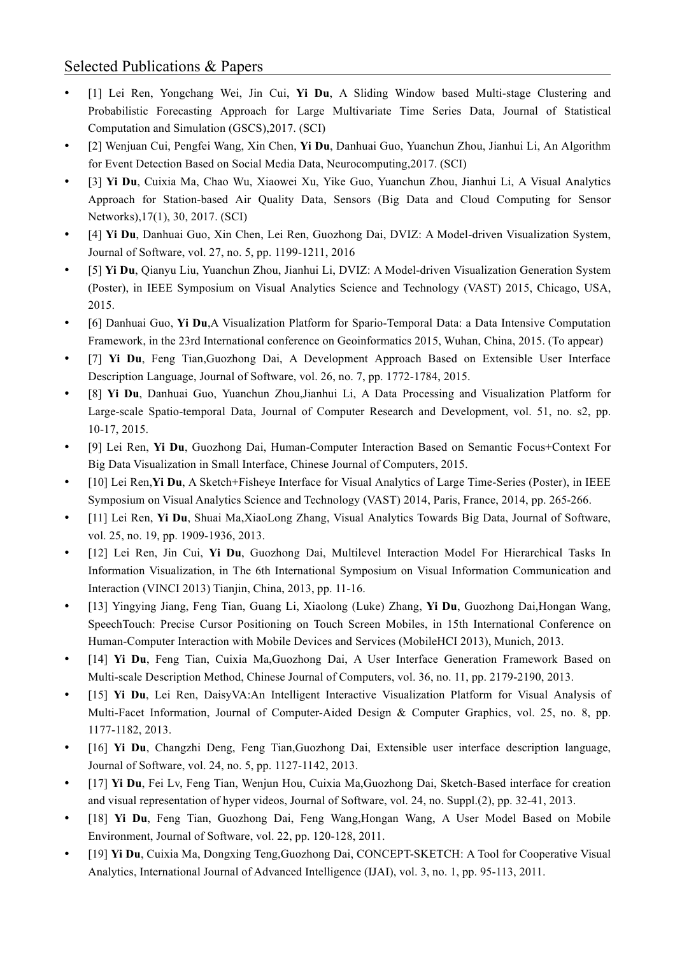#### Selected Publications & Papers

- [1] Lei Ren, Yongchang Wei, Jin Cui, **Yi Du**, A Sliding Window based Multi-stage Clustering and Probabilistic Forecasting Approach for Large Multivariate Time Series Data, Journal of Statistical Computation and Simulation (GSCS),2017. (SCI)
- [2] Wenjuan Cui, Pengfei Wang, Xin Chen, **Yi Du**, Danhuai Guo, Yuanchun Zhou, Jianhui Li, An Algorithm for Event Detection Based on Social Media Data, Neurocomputing,2017. (SCI)
- [3] **Yi Du**, Cuixia Ma, Chao Wu, Xiaowei Xu, Yike Guo, Yuanchun Zhou, Jianhui Li, A Visual Analytics Approach for Station-based Air Quality Data, Sensors (Big Data and Cloud Computing for Sensor Networks),17(1), 30, 2017. (SCI)
- [4] **Yi Du**, Danhuai Guo, Xin Chen, Lei Ren, Guozhong Dai, DVIZ: A Model-driven Visualization System, Journal of Software, vol. 27, no. 5, pp. 1199-1211, 2016
- [5] **Yi Du**, Qianyu Liu, Yuanchun Zhou, Jianhui Li, DVIZ: A Model-driven Visualization Generation System (Poster), in IEEE Symposium on Visual Analytics Science and Technology (VAST) 2015, Chicago, USA, 2015.
- [6] Danhuai Guo, **Yi Du**,A Visualization Platform for Spario-Temporal Data: a Data Intensive Computation Framework, in the 23rd International conference on Geoinformatics 2015, Wuhan, China, 2015. (To appear)
- [7] **Yi Du**, Feng Tian,Guozhong Dai, A Development Approach Based on Extensible User Interface Description Language, Journal of Software, vol. 26, no. 7, pp. 1772-1784, 2015.
- [8] **Yi Du**, Danhuai Guo, Yuanchun Zhou,Jianhui Li, A Data Processing and Visualization Platform for Large-scale Spatio-temporal Data, Journal of Computer Research and Development, vol. 51, no. s2, pp. 10-17, 2015.
- [9] Lei Ren, **Yi Du**, Guozhong Dai, Human-Computer Interaction Based on Semantic Focus+Context For Big Data Visualization in Small Interface, Chinese Journal of Computers, 2015.
- [10] Lei Ren,**Yi Du**, A Sketch+Fisheye Interface for Visual Analytics of Large Time-Series (Poster), in IEEE Symposium on Visual Analytics Science and Technology (VAST) 2014, Paris, France, 2014, pp. 265-266.
- [11] Lei Ren, **Yi Du**, Shuai Ma,XiaoLong Zhang, Visual Analytics Towards Big Data, Journal of Software, vol. 25, no. 19, pp. 1909-1936, 2013.
- [12] Lei Ren, Jin Cui, **Yi Du**, Guozhong Dai, Multilevel Interaction Model For Hierarchical Tasks In Information Visualization, in The 6th International Symposium on Visual Information Communication and Interaction (VINCI 2013) Tianjin, China, 2013, pp. 11-16.
- [13] Yingying Jiang, Feng Tian, Guang Li, Xiaolong (Luke) Zhang, **Yi Du**, Guozhong Dai,Hongan Wang, SpeechTouch: Precise Cursor Positioning on Touch Screen Mobiles, in 15th International Conference on Human-Computer Interaction with Mobile Devices and Services (MobileHCI 2013), Munich, 2013.
- [14] **Yi Du**, Feng Tian, Cuixia Ma,Guozhong Dai, A User Interface Generation Framework Based on Multi-scale Description Method, Chinese Journal of Computers, vol. 36, no. 11, pp. 2179-2190, 2013.
- [15] **Yi Du**, Lei Ren, DaisyVA:An Intelligent Interactive Visualization Platform for Visual Analysis of Multi-Facet Information, Journal of Computer-Aided Design & Computer Graphics, vol. 25, no. 8, pp. 1177-1182, 2013.
- [16] **Yi Du**, Changzhi Deng, Feng Tian,Guozhong Dai, Extensible user interface description language, Journal of Software, vol. 24, no. 5, pp. 1127-1142, 2013.
- [17] **Yi Du**, Fei Lv, Feng Tian, Wenjun Hou, Cuixia Ma,Guozhong Dai, Sketch-Based interface for creation and visual representation of hyper videos, Journal of Software, vol. 24, no. Suppl.(2), pp. 32-41, 2013.
- [18] **Yi Du**, Feng Tian, Guozhong Dai, Feng Wang,Hongan Wang, A User Model Based on Mobile Environment, Journal of Software, vol. 22, pp. 120-128, 2011.
- [19] **Yi Du**, Cuixia Ma, Dongxing Teng,Guozhong Dai, CONCEPT-SKETCH: A Tool for Cooperative Visual Analytics, International Journal of Advanced Intelligence (IJAI), vol. 3, no. 1, pp. 95-113, 2011.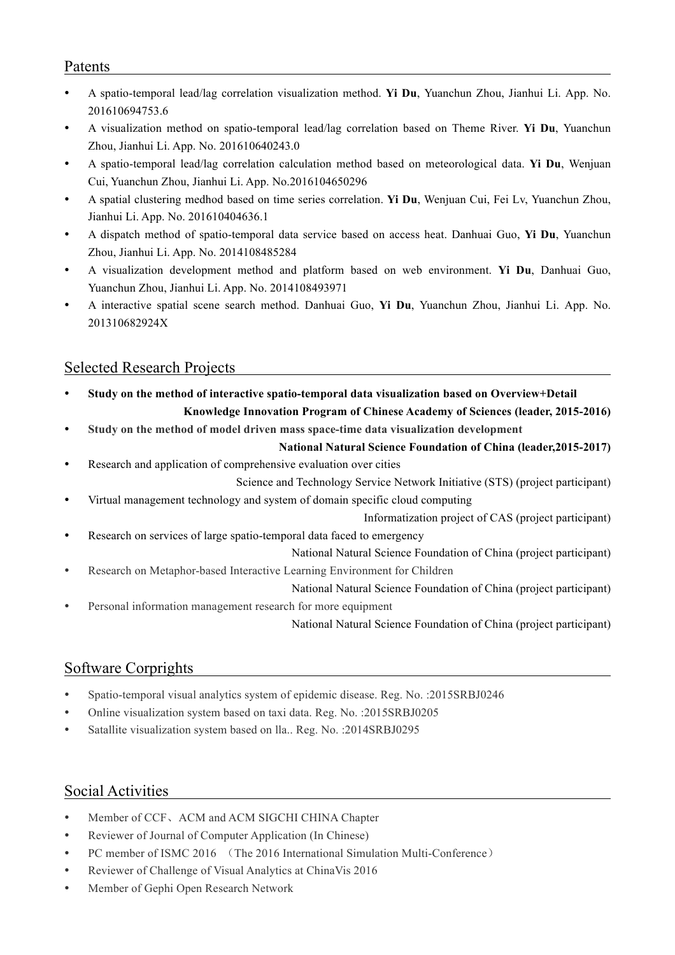#### Patents

- A spatio-temporal lead/lag correlation visualization method. **Yi Du**, Yuanchun Zhou, Jianhui Li. App. No. 201610694753.6
- A visualization method on spatio-temporal lead/lag correlation based on Theme River. **Yi Du**, Yuanchun Zhou, Jianhui Li. App. No. 201610640243.0
- A spatio-temporal lead/lag correlation calculation method based on meteorological data. **Yi Du**, Wenjuan Cui, Yuanchun Zhou, Jianhui Li. App. No.2016104650296
- A spatial clustering medhod based on time series correlation. **Yi Du**, Wenjuan Cui, Fei Lv, Yuanchun Zhou, Jianhui Li. App. No. 201610404636.1
- A dispatch method of spatio-temporal data service based on access heat. Danhuai Guo, **Yi Du**, Yuanchun Zhou, Jianhui Li. App. No. 2014108485284
- A visualization development method and platform based on web environment. **Yi Du**, Danhuai Guo, Yuanchun Zhou, Jianhui Li. App. No. 2014108493971
- A interactive spatial scene search method. Danhuai Guo, **Yi Du**, Yuanchun Zhou, Jianhui Li. App. No. 201310682924X

#### Selected Research Projects

- **Study on the method of interactive spatio-temporal data visualization based on Overview+Detail Knowledge Innovation Program of Chinese Academy of Sciences (leader, 2015-2016)**
- **Study on the method of model driven mass space-time data visualization development**

#### **National Natural Science Foundation of China (leader,2015-2017)**

Research and application of comprehensive evaluation over cities

Science and Technology Service Network Initiative (STS) (project participant)

- Virtual management technology and system of domain specific cloud computing
	- Informatization project of CAS (project participant)
- Research on services of large spatio-temporal data faced to emergency

National Natural Science Foundation of China (project participant)

Research on Metaphor-based Interactive Learning Environment for Children

National Natural Science Foundation of China (project participant)

Personal information management research for more equipment

National Natural Science Foundation of China (project participant)

#### Software Corprights

- Spatio-temporal visual analytics system of epidemic disease. Reg. No. :2015SRBJ0246
- Online visualization system based on taxi data. Reg. No. :2015SRBJ0205
- Satallite visualization system based on lla.. Reg. No. :2014SRBJ0295

#### Social Activities

- Member of CCF、ACM and ACM SIGCHI CHINA Chapter
- Reviewer of Journal of Computer Application (In Chinese)
- PC member of ISMC 2016 (The 2016 International Simulation Multi-Conference)
- Reviewer of Challenge of Visual Analytics at ChinaVis 2016
- Member of Gephi Open Research Network